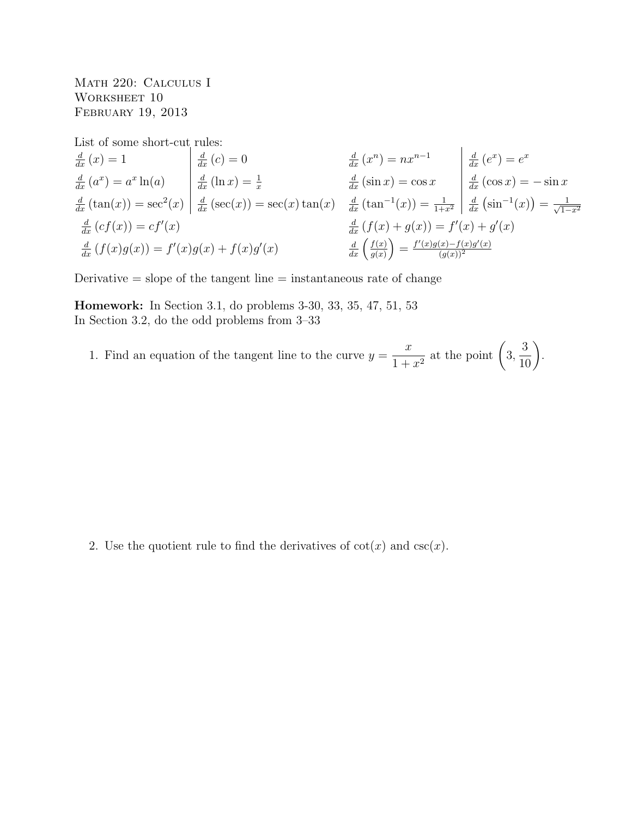Math 220: Calculus I WORKSHEET 10 February 19, 2013

List of some short-cut rules:

$$
\frac{d}{dx}(x) = 1
$$
\n
$$
\frac{d}{dx}(a^x) = a^x \ln(a)
$$
\n
$$
\frac{d}{dx}(\tan(x)) = \sec^2(x)
$$
\n
$$
\frac{d}{dx}(\sec(x)) = \sec(x) \tan(x)
$$
\n
$$
\frac{d}{dx}(\tan^{-1}(x)) = \frac{1}{1+x^2}
$$
\n
$$
\frac{d}{dx}(\sin^{-1}(x)) = -\sin x
$$
\n
$$
\frac{d}{dx}(\cos x) = -\sin x
$$
\n
$$
\frac{d}{dx}(\cos x) = -\sin x
$$
\n
$$
\frac{d}{dx}(\cos x) = -\sin x
$$
\n
$$
\frac{d}{dx}(\cos x) = -\sin x
$$
\n
$$
\frac{d}{dx}(\cos x) = -\sin x
$$
\n
$$
\frac{d}{dx}(\cos x) = -\sin x
$$
\n
$$
\frac{d}{dx}(\cos x) = -\sin x
$$
\n
$$
\frac{d}{dx}(\cos x) = -\sin x
$$
\n
$$
\frac{d}{dx}(\cos x) = -\sin x
$$
\n
$$
\frac{d}{dx}(\cos x) = -\sin x
$$
\n
$$
\frac{d}{dx}(\cos x) = -\sin x
$$
\n
$$
\frac{d}{dx}(\cos x) = -\sin x
$$
\n
$$
\frac{d}{dx}(\cos x) = -\sin x
$$
\n
$$
\frac{d}{dx}(\cos x) = -\sin x
$$
\n
$$
\frac{d}{dx}(\cos x) = -\sin x
$$
\n
$$
\frac{d}{dx}(\cos x) = -\sin x
$$
\n
$$
\frac{d}{dx}(\cos x) = -\sin x
$$
\n
$$
\frac{d}{dx}(\cos x) = -\sin x
$$
\n
$$
\frac{d}{dx}(\cos x) = -\sin x
$$
\n
$$
\frac{d}{dx}(\cos x) = -\sin x
$$
\n
$$
\frac{d}{dx}(\cos x) = -\sin x
$$
\n
$$
\frac{d}{dx}(\cos x) = -\sin x
$$
\n
$$
\frac{d}{dx}(\cos x) = -\sin x
$$
\n
$$
\frac{d}{dx}(\cos x) = -\sin x
$$
\n

Derivative  $=$  slope of the tangent line  $=$  instantaneous rate of change

Homework: In Section 3.1, do problems 3-30, 33, 35, 47, 51, 53 In Section 3.2, do the odd problems from 3–33

1. Find an equation of the tangent line to the curve  $y =$  $\overline{x}$  $\frac{x}{1+x^2}$  at the point  $\left(3, \right)$  $\frac{3}{10}$ .

2. Use the quotient rule to find the derivatives of  $cot(x)$  and  $csc(x)$ .